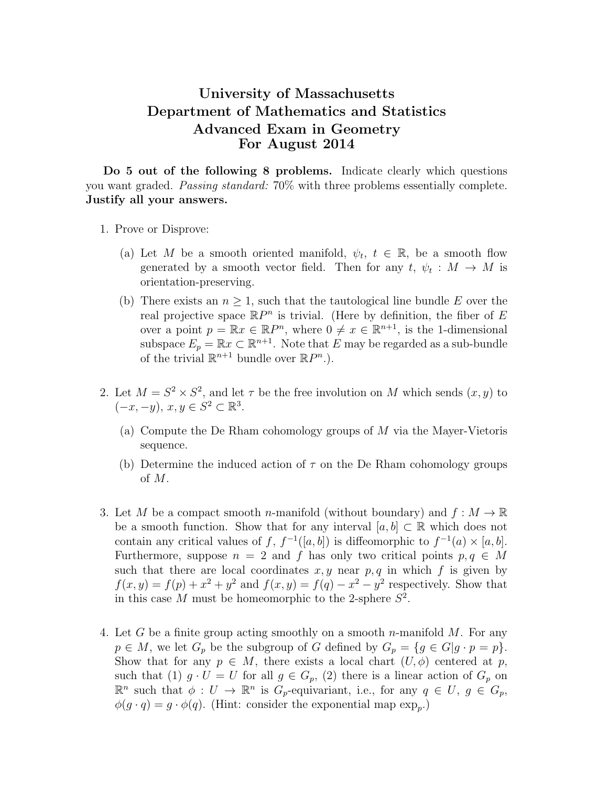## University of Massachusetts Department of Mathematics and Statistics Advanced Exam in Geometry For August 2014

Do 5 out of the following 8 problems. Indicate clearly which questions you want graded. Passing standard: 70% with three problems essentially complete. Justify all your answers.

- 1. Prove or Disprove:
	- (a) Let M be a smooth oriented manifold,  $\psi_t$ ,  $t \in \mathbb{R}$ , be a smooth flow generated by a smooth vector field. Then for any  $t, \psi_t : M \to M$  is orientation-preserving.
	- (b) There exists an  $n \geq 1$ , such that the tautological line bundle E over the real projective space  $\mathbb{R}P^n$  is trivial. (Here by definition, the fiber of E over a point  $p = \mathbb{R}x \in \mathbb{R}P^n$ , where  $0 \neq x \in \mathbb{R}^{n+1}$ , is the 1-dimensional subspace  $E_p = \mathbb{R}x \subset \mathbb{R}^{n+1}$ . Note that E may be regarded as a sub-bundle of the trivial  $\mathbb{R}^{n+1}$  bundle over  $\mathbb{R}P^n$ .).
- 2. Let  $M = S^2 \times S^2$ , and let  $\tau$  be the free involution on M which sends  $(x, y)$  to  $(-x, -y), x, y \in S^2 \subset \mathbb{R}^3$ .
	- (a) Compute the De Rham cohomology groups of M via the Mayer-Vietoris sequence.
	- (b) Determine the induced action of  $\tau$  on the De Rham cohomology groups of M.
- 3. Let M be a compact smooth n-manifold (without boundary) and  $f : M \to \mathbb{R}$ be a smooth function. Show that for any interval  $[a, b] \subset \mathbb{R}$  which does not contain any critical values of f,  $f^{-1}([a, b])$  is diffeomorphic to  $f^{-1}(a) \times [a, b]$ . Furthermore, suppose  $n = 2$  and f has only two critical points  $p, q \in M$ such that there are local coordinates  $x, y$  near  $p, q$  in which f is given by  $f(x,y) = f(p) + x^2 + y^2$  and  $f(x,y) = f(q) - x^2 - y^2$  respectively. Show that in this case M must be homeomorphic to the 2-sphere  $S^2$ .
- 4. Let G be a finite group acting smoothly on a smooth n-manifold  $M$ . For any  $p \in M$ , we let  $G_p$  be the subgroup of G defined by  $G_p = \{g \in G | g \cdot p = p\}.$ Show that for any  $p \in M$ , there exists a local chart  $(U, \phi)$  centered at p, such that (1)  $g \cdot U = U$  for all  $g \in G_p$ , (2) there is a linear action of  $G_p$  on  $\mathbb{R}^n$  such that  $\phi: U \to \mathbb{R}^n$  is  $G_p$ -equivariant, i.e., for any  $q \in U, g \in G_p$ ,  $\phi(g \cdot q) = g \cdot \phi(q)$ . (Hint: consider the exponential map  $\exp_p$ .)